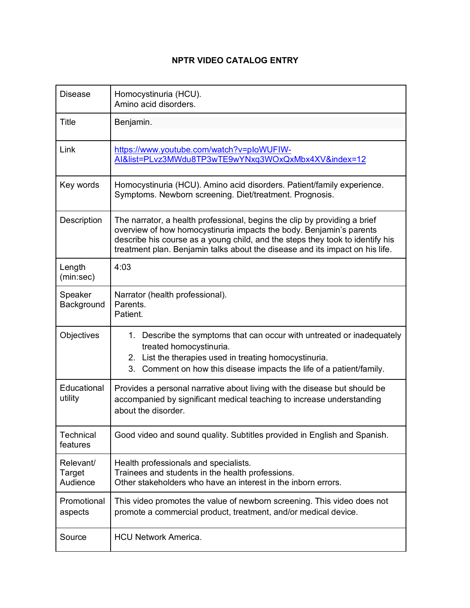## **NPTR VIDEO CATALOG ENTRY**

| <b>Disease</b>                  | Homocystinuria (HCU).<br>Amino acid disorders.                                                                                                                                                                                                                                                                    |
|---------------------------------|-------------------------------------------------------------------------------------------------------------------------------------------------------------------------------------------------------------------------------------------------------------------------------------------------------------------|
| Title                           | Benjamin.                                                                                                                                                                                                                                                                                                         |
| Link                            | https://www.youtube.com/watch?v=ploWUFIW-<br>AI&list=PLvz3MWdu8TP3wTE9wYNxq3WOxQxMbx4XV&index=12                                                                                                                                                                                                                  |
| Key words                       | Homocystinuria (HCU). Amino acid disorders. Patient/family experience.<br>Symptoms. Newborn screening. Diet/treatment. Prognosis.                                                                                                                                                                                 |
| Description                     | The narrator, a health professional, begins the clip by providing a brief<br>overview of how homocystinuria impacts the body. Benjamin's parents<br>describe his course as a young child, and the steps they took to identify his<br>treatment plan. Benjamin talks about the disease and its impact on his life. |
| Length<br>(min:sec)             | 4:03                                                                                                                                                                                                                                                                                                              |
| Speaker<br>Background           | Narrator (health professional).<br>Parents.<br>Patient.                                                                                                                                                                                                                                                           |
| Objectives                      | 1. Describe the symptoms that can occur with untreated or inadequately<br>treated homocystinuria.<br>2. List the therapies used in treating homocystinuria.<br>3. Comment on how this disease impacts the life of a patient/family.                                                                               |
| Educational<br>utility          | Provides a personal narrative about living with the disease but should be<br>accompanied by significant medical teaching to increase understanding<br>about the disorder.                                                                                                                                         |
| Technical<br>features           | Good video and sound quality. Subtitles provided in English and Spanish.                                                                                                                                                                                                                                          |
| Relevant/<br>Target<br>Audience | Health professionals and specialists.<br>Trainees and students in the health professions.<br>Other stakeholders who have an interest in the inborn errors.                                                                                                                                                        |
| Promotional<br>aspects          | This video promotes the value of newborn screening. This video does not<br>promote a commercial product, treatment, and/or medical device.                                                                                                                                                                        |
| Source                          | <b>HCU Network America.</b>                                                                                                                                                                                                                                                                                       |